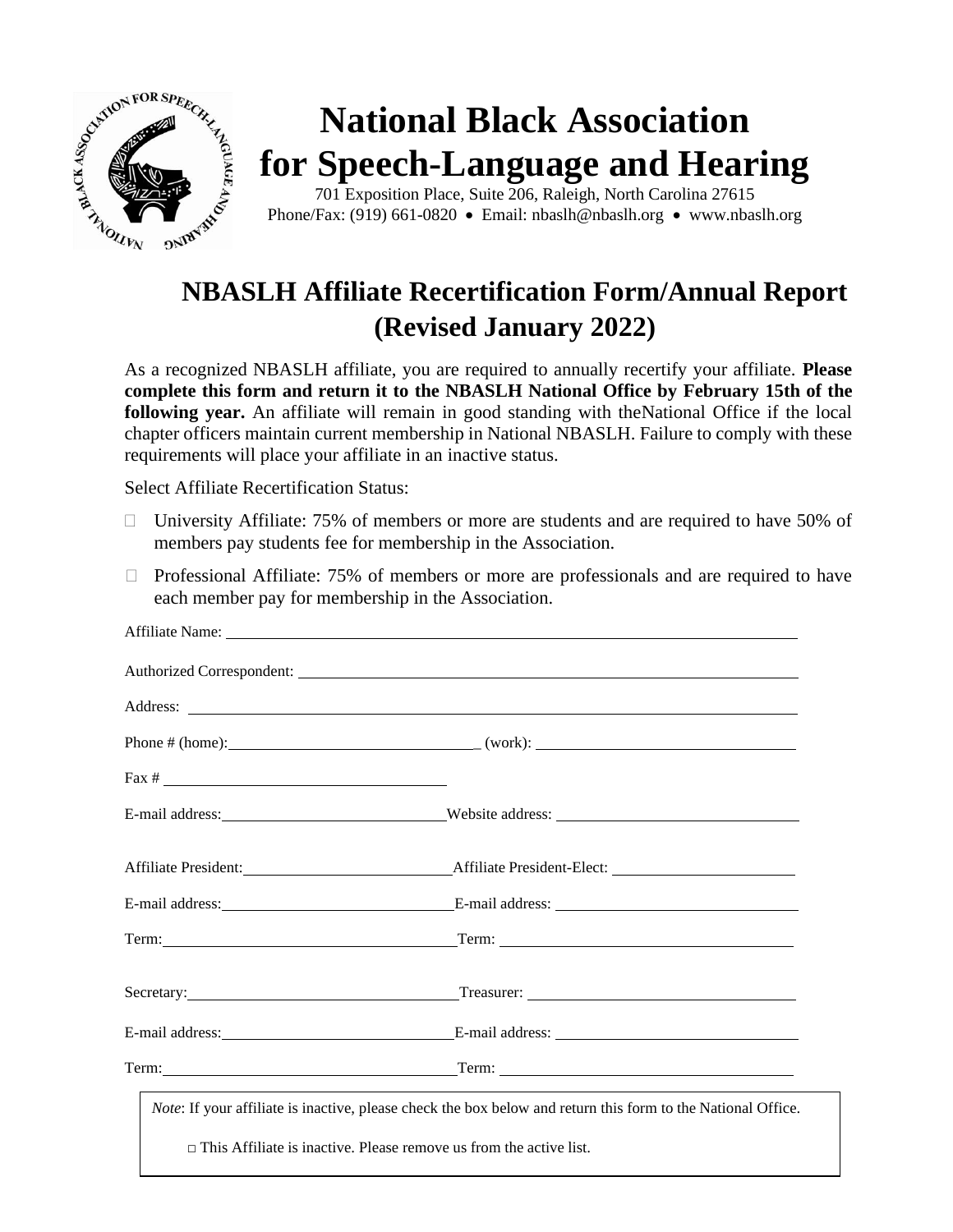

## **(Revised January 2022)**

As a recognized NBASLH affiliate, you are required to annually recertify your affiliate. **Please complete this form and return it to the NBASLH National Office by February 15th of the following year.** An affiliate will remain in good standing with theNational Office if the local chapter officers maintain current membership in National NBASLH. Failure to comply with these requirements will place your affiliate in an inactive status.

Select Affiliate Recertification Status:

- $\Box$  University Affiliate: 75% of members or more are students and are required to have 50% of members pay students fee for membership in the Association.
- $\Box$  Professional Affiliate: 75% of members or more are professionals and are required to have each member pay for membership in the Association.

| Authorized Correspondent: Lawrence Correspondent:                                                                                                                                         |  |
|-------------------------------------------------------------------------------------------------------------------------------------------------------------------------------------------|--|
|                                                                                                                                                                                           |  |
|                                                                                                                                                                                           |  |
|                                                                                                                                                                                           |  |
| E-mail address: Website address: Website address:                                                                                                                                         |  |
|                                                                                                                                                                                           |  |
|                                                                                                                                                                                           |  |
|                                                                                                                                                                                           |  |
| Secretary: <u>Containing Secretary:</u> Treasurer: <u>Containing Secretary:</u> Containing Secretary:                                                                                     |  |
|                                                                                                                                                                                           |  |
|                                                                                                                                                                                           |  |
| Note: If your affiliate is inactive, please check the box below and return this form to the National Office.<br>$\Box$ This Affiliate is inactive. Please remove us from the active list. |  |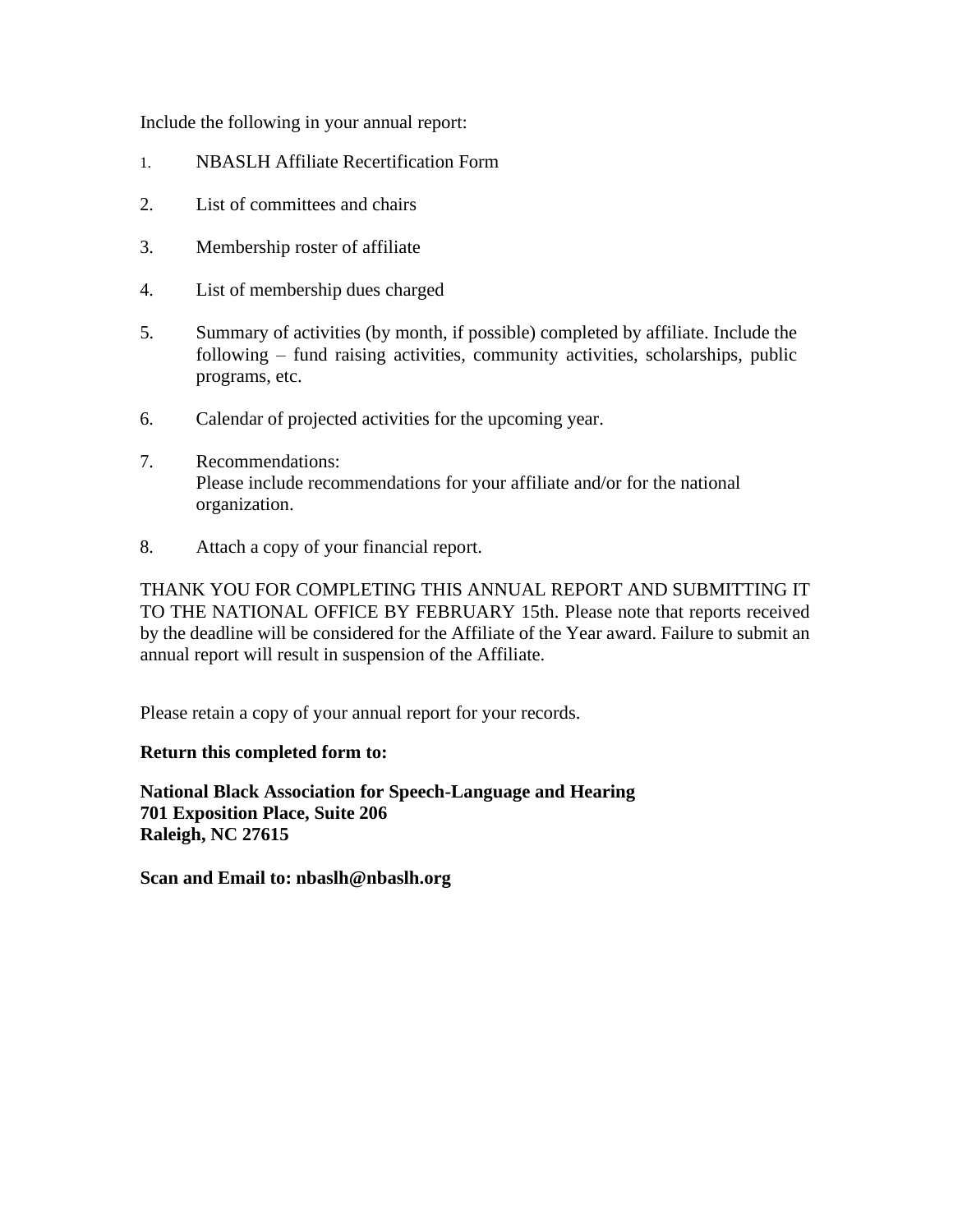Include the following in your annual report:

- 1. NBASLH Affiliate Recertification Form
- 2. List of committees and chairs
- 3. Membership roster of affiliate
- 4. List of membership dues charged
- 5. Summary of activities (by month, if possible) completed by affiliate. Include the following – fund raising activities, community activities, scholarships, public programs, etc.
- 6. Calendar of projected activities for the upcoming year.
- 7. Recommendations: Please include recommendations for your affiliate and/or for the national organization.
- 8. Attach a copy of your financial report.

THANK YOU FOR COMPLETING THIS ANNUAL REPORT AND SUBMITTING IT TO THE NATIONAL OFFICE BY FEBRUARY 15th. Please note that reports received by the deadline will be considered for the Affiliate of the Year award. Failure to submit an annual report will result in suspension of the Affiliate.

Please retain a copy of your annual report for your records.

## **Return this completed form to:**

**National Black Association for Speech-Language and Hearing 701 Exposition Place, Suite 206 Raleigh, NC 27615**

**Scan and Email to: [nbaslh@nbaslh.org](mailto:nbaslh@nbaslh.org)**